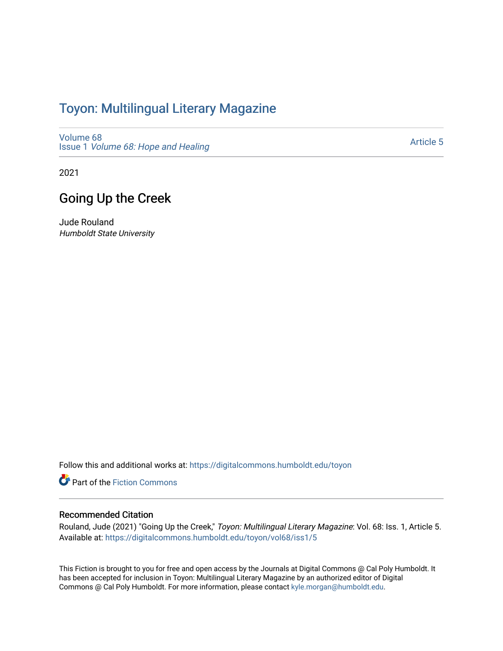## Toyon: Multilingual Literar[y](https://digitalcommons.humboldt.edu/toyon) Magazine

[Volume 68](https://digitalcommons.humboldt.edu/toyon/vol68) Issue 1 [Volume 68: Hope and Healing](https://digitalcommons.humboldt.edu/toyon/vol68/iss1) 

[Article 5](https://digitalcommons.humboldt.edu/toyon/vol68/iss1/5) 

2021

## Going Up the Creek

Jude Rouland Humboldt State University

Follow this and additional works at: [https://digitalcommons.humboldt.edu/toyon](https://digitalcommons.humboldt.edu/toyon?utm_source=digitalcommons.humboldt.edu%2Ftoyon%2Fvol68%2Fiss1%2F5&utm_medium=PDF&utm_campaign=PDFCoverPages)

Part of the [Fiction Commons](http://network.bepress.com/hgg/discipline/1151?utm_source=digitalcommons.humboldt.edu%2Ftoyon%2Fvol68%2Fiss1%2F5&utm_medium=PDF&utm_campaign=PDFCoverPages) 

## Recommended Citation

Rouland, Jude (2021) "Going Up the Creek," Toyon: Multilingual Literary Magazine: Vol. 68: Iss. 1, Article 5. Available at: [https://digitalcommons.humboldt.edu/toyon/vol68/iss1/5](https://digitalcommons.humboldt.edu/toyon/vol68/iss1/5?utm_source=digitalcommons.humboldt.edu%2Ftoyon%2Fvol68%2Fiss1%2F5&utm_medium=PDF&utm_campaign=PDFCoverPages)

This Fiction is brought to you for free and open access by the Journals at Digital Commons @ Cal Poly Humboldt. It has been accepted for inclusion in Toyon: Multilingual Literary Magazine by an authorized editor of Digital Commons @ Cal Poly Humboldt. For more information, please contact [kyle.morgan@humboldt.edu](mailto:kyle.morgan@humboldt.edu).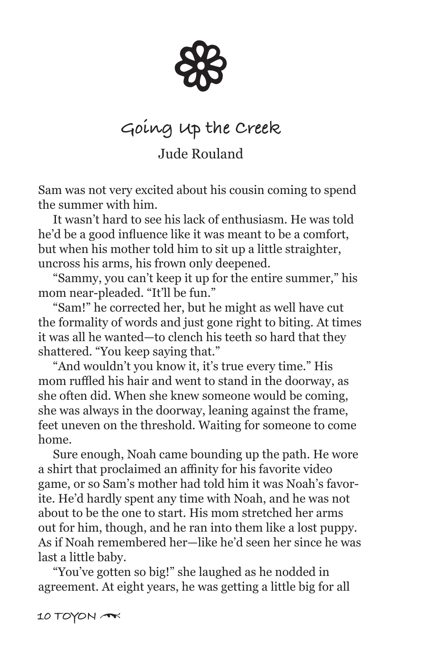88

## **Going Up the Creek**

Jude Rouland

Sam was not very excited about his cousin coming to spend the summer with him.

 It wasn't hard to see his lack of enthusiasm. He was told he'd be a good influence like it was meant to be a comfort, but when his mother told him to sit up a little straighter, uncross his arms, his frown only deepened.

 "Sammy, you can't keep it up for the entire summer," his mom near-pleaded. "It'll be fun."

 "Sam!" he corrected her, but he might as well have cut the formality of words and just gone right to biting. At times it was all he wanted—to clench his teeth so hard that they shattered. "You keep saying that."

 "And wouldn't you know it, it's true every time." His mom ruffled his hair and went to stand in the doorway, as she often did. When she knew someone would be coming, she was always in the doorway, leaning against the frame, feet uneven on the threshold. Waiting for someone to come home.

 Sure enough, Noah came bounding up the path. He wore a shirt that proclaimed an affinity for his favorite video game, or so Sam's mother had told him it was Noah's favorite. He'd hardly spent any time with Noah, and he was not about to be the one to start. His mom stretched her arms out for him, though, and he ran into them like a lost puppy. As if Noah remembered her—like he'd seen her since he was last a little baby.

 "You've gotten so big!" she laughed as he nodded in agreement. At eight years, he was getting a little big for all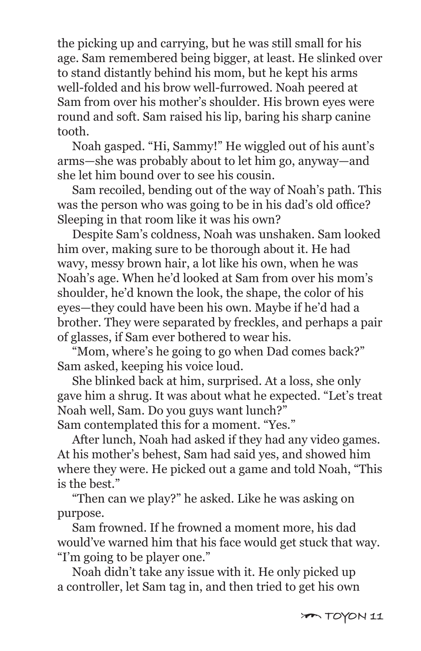the picking up and carrying, but he was still small for his age. Sam remembered being bigger, at least. He slinked over to stand distantly behind his mom, but he kept his arms well-folded and his brow well-furrowed. Noah peered at Sam from over his mother's shoulder. His brown eyes were round and soft. Sam raised his lip, baring his sharp canine tooth.

 Noah gasped. "Hi, Sammy!" He wiggled out of his aunt's arms—she was probably about to let him go, anyway—and she let him bound over to see his cousin.

 Sam recoiled, bending out of the way of Noah's path. This was the person who was going to be in his dad's old office? Sleeping in that room like it was his own?

 Despite Sam's coldness, Noah was unshaken. Sam looked him over, making sure to be thorough about it. He had wavy, messy brown hair, a lot like his own, when he was Noah's age. When he'd looked at Sam from over his mom's shoulder, he'd known the look, the shape, the color of his eyes—they could have been his own. Maybe if he'd had a brother. They were separated by freckles, and perhaps a pair of glasses, if Sam ever bothered to wear his.

 "Mom, where's he going to go when Dad comes back?" Sam asked, keeping his voice loud.

 She blinked back at him, surprised. At a loss, she only gave him a shrug. It was about what he expected. "Let's treat Noah well, Sam. Do you guys want lunch?" Sam contemplated this for a moment. "Yes."

 After lunch, Noah had asked if they had any video games. At his mother's behest, Sam had said yes, and showed him where they were. He picked out a game and told Noah, "This is the best."

 "Then can we play?" he asked. Like he was asking on purpose.

 Sam frowned. If he frowned a moment more, his dad would've warned him that his face would get stuck that way. "I'm going to be player one."

 Noah didn't take any issue with it. He only picked up a controller, let Sam tag in, and then tried to get his own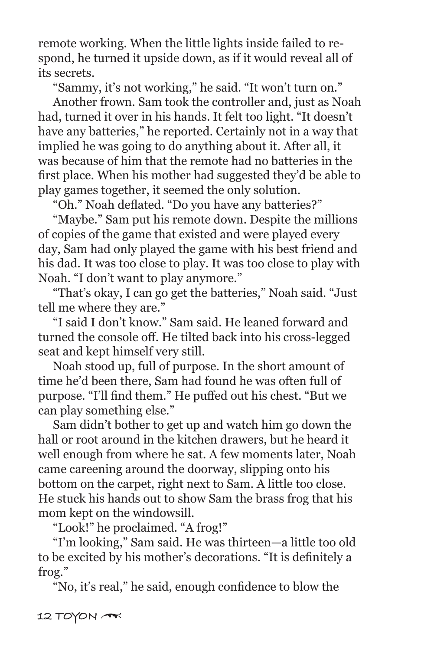remote working. When the little lights inside failed to respond, he turned it upside down, as if it would reveal all of its secrets.

"Sammy, it's not working," he said. "It won't turn on."

 Another frown. Sam took the controller and, just as Noah had, turned it over in his hands. It felt too light. "It doesn't have any batteries," he reported. Certainly not in a way that implied he was going to do anything about it. After all, it was because of him that the remote had no batteries in the first place. When his mother had suggested they'd be able to play games together, it seemed the only solution.

"Oh." Noah deflated. "Do you have any batteries?"

 "Maybe." Sam put his remote down. Despite the millions of copies of the game that existed and were played every day, Sam had only played the game with his best friend and his dad. It was too close to play. It was too close to play with Noah. "I don't want to play anymore."

 "That's okay, I can go get the batteries," Noah said. "Just tell me where they are."

 "I said I don't know." Sam said. He leaned forward and turned the console off. He tilted back into his cross-legged seat and kept himself very still.

 Noah stood up, full of purpose. In the short amount of time he'd been there, Sam had found he was often full of purpose. "I'll find them." He puffed out his chest. "But we can play something else."

 Sam didn't bother to get up and watch him go down the hall or root around in the kitchen drawers, but he heard it well enough from where he sat. A few moments later, Noah came careening around the doorway, slipping onto his bottom on the carpet, right next to Sam. A little too close. He stuck his hands out to show Sam the brass frog that his mom kept on the windowsill.

"Look!" he proclaimed. "A frog!"

 "I'm looking," Sam said. He was thirteen—a little too old to be excited by his mother's decorations. "It is definitely a frog."

"No, it's real," he said, enough confidence to blow the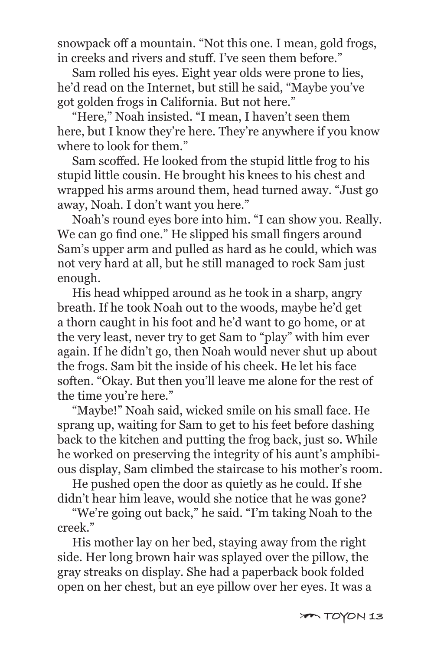snowpack off a mountain. "Not this one. I mean, gold frogs, in creeks and rivers and stuff. I've seen them before."

 Sam rolled his eyes. Eight year olds were prone to lies, he'd read on the Internet, but still he said, "Maybe you've got golden frogs in California. But not here."

 "Here," Noah insisted. "I mean, I haven't seen them here, but I know they're here. They're anywhere if you know where to look for them."

 Sam scoffed. He looked from the stupid little frog to his stupid little cousin. He brought his knees to his chest and wrapped his arms around them, head turned away. "Just go away, Noah. I don't want you here."

 Noah's round eyes bore into him. "I can show you. Really. We can go find one." He slipped his small fingers around Sam's upper arm and pulled as hard as he could, which was not very hard at all, but he still managed to rock Sam just enough.

 His head whipped around as he took in a sharp, angry breath. If he took Noah out to the woods, maybe he'd get a thorn caught in his foot and he'd want to go home, or at the very least, never try to get Sam to "play" with him ever again. If he didn't go, then Noah would never shut up about the frogs. Sam bit the inside of his cheek. He let his face soften. "Okay. But then you'll leave me alone for the rest of the time you're here."

 "Maybe!" Noah said, wicked smile on his small face. He sprang up, waiting for Sam to get to his feet before dashing back to the kitchen and putting the frog back, just so. While he worked on preserving the integrity of his aunt's amphibious display, Sam climbed the staircase to his mother's room.

 He pushed open the door as quietly as he could. If she didn't hear him leave, would she notice that he was gone?

 "We're going out back," he said. "I'm taking Noah to the creek."

 His mother lay on her bed, staying away from the right side. Her long brown hair was splayed over the pillow, the gray streaks on display. She had a paperback book folded open on her chest, but an eye pillow over her eyes. It was a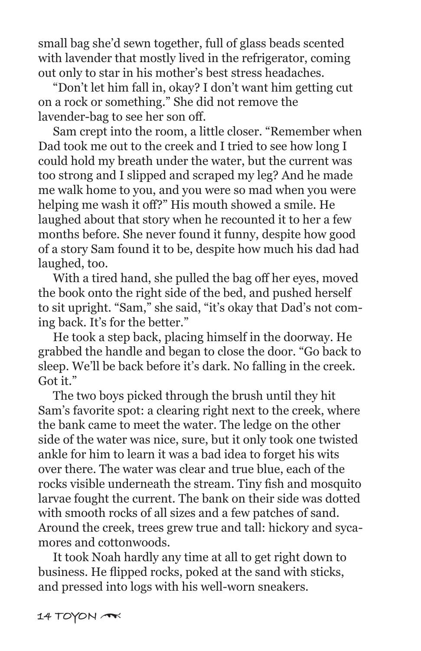small bag she'd sewn together, full of glass beads scented with lavender that mostly lived in the refrigerator, coming out only to star in his mother's best stress headaches.

 "Don't let him fall in, okay? I don't want him getting cut on a rock or something." She did not remove the lavender-bag to see her son off.

 Sam crept into the room, a little closer. "Remember when Dad took me out to the creek and I tried to see how long I could hold my breath under the water, but the current was too strong and I slipped and scraped my leg? And he made me walk home to you, and you were so mad when you were helping me wash it off?" His mouth showed a smile. He laughed about that story when he recounted it to her a few months before. She never found it funny, despite how good of a story Sam found it to be, despite how much his dad had laughed, too.

 With a tired hand, she pulled the bag off her eyes, moved the book onto the right side of the bed, and pushed herself to sit upright. "Sam," she said, "it's okay that Dad's not coming back. It's for the better."

 He took a step back, placing himself in the doorway. He grabbed the handle and began to close the door. "Go back to sleep. We'll be back before it's dark. No falling in the creek. Got it."

 The two boys picked through the brush until they hit Sam's favorite spot: a clearing right next to the creek, where the bank came to meet the water. The ledge on the other side of the water was nice, sure, but it only took one twisted ankle for him to learn it was a bad idea to forget his wits over there. The water was clear and true blue, each of the rocks visible underneath the stream. Tiny fish and mosquito larvae fought the current. The bank on their side was dotted with smooth rocks of all sizes and a few patches of sand. Around the creek, trees grew true and tall: hickory and sycamores and cottonwoods.

 It took Noah hardly any time at all to get right down to business. He flipped rocks, poked at the sand with sticks, and pressed into logs with his well-worn sneakers.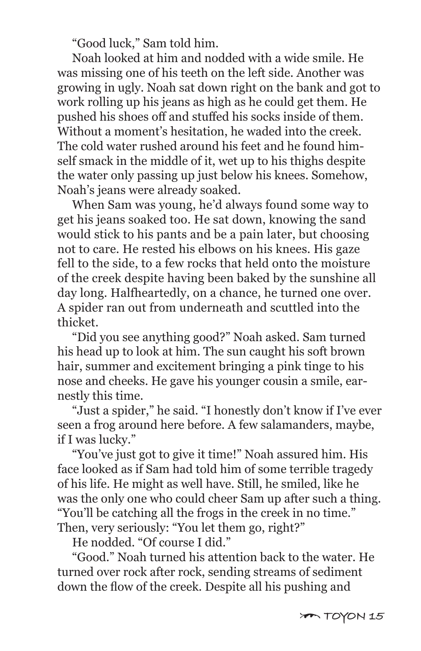"Good luck," Sam told him.

 Noah looked at him and nodded with a wide smile. He was missing one of his teeth on the left side. Another was growing in ugly. Noah sat down right on the bank and got to work rolling up his jeans as high as he could get them. He pushed his shoes off and stuffed his socks inside of them. Without a moment's hesitation, he waded into the creek. The cold water rushed around his feet and he found himself smack in the middle of it, wet up to his thighs despite the water only passing up just below his knees. Somehow, Noah's jeans were already soaked.

 When Sam was young, he'd always found some way to get his jeans soaked too. He sat down, knowing the sand would stick to his pants and be a pain later, but choosing not to care. He rested his elbows on his knees. His gaze fell to the side, to a few rocks that held onto the moisture of the creek despite having been baked by the sunshine all day long. Halfheartedly, on a chance, he turned one over. A spider ran out from underneath and scuttled into the thicket.

 "Did you see anything good?" Noah asked. Sam turned his head up to look at him. The sun caught his soft brown hair, summer and excitement bringing a pink tinge to his nose and cheeks. He gave his younger cousin a smile, earnestly this time.

 "Just a spider," he said. "I honestly don't know if I've ever seen a frog around here before. A few salamanders, maybe, if I was lucky."

 "You've just got to give it time!" Noah assured him. His face looked as if Sam had told him of some terrible tragedy of his life. He might as well have. Still, he smiled, like he was the only one who could cheer Sam up after such a thing. "You'll be catching all the frogs in the creek in no time." Then, very seriously: "You let them go, right?"

He nodded. "Of course I did."

 "Good." Noah turned his attention back to the water. He turned over rock after rock, sending streams of sediment down the flow of the creek. Despite all his pushing and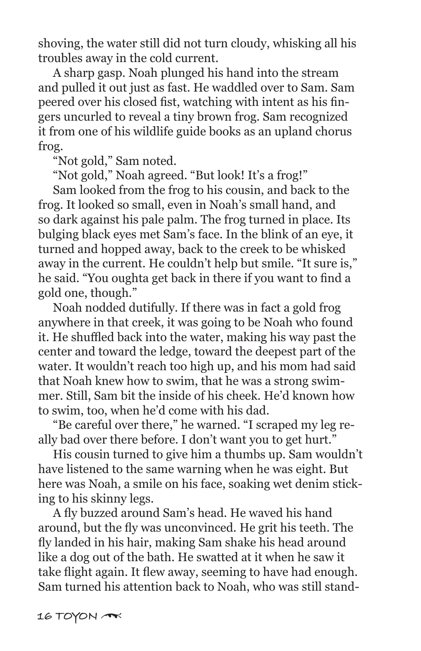shoving, the water still did not turn cloudy, whisking all his troubles away in the cold current.

 A sharp gasp. Noah plunged his hand into the stream and pulled it out just as fast. He waddled over to Sam. Sam peered over his closed fist, watching with intent as his fingers uncurled to reveal a tiny brown frog. Sam recognized it from one of his wildlife guide books as an upland chorus frog.

"Not gold," Sam noted.

"Not gold," Noah agreed. "But look! It's a frog!"

 Sam looked from the frog to his cousin, and back to the frog. It looked so small, even in Noah's small hand, and so dark against his pale palm. The frog turned in place. Its bulging black eyes met Sam's face. In the blink of an eye, it turned and hopped away, back to the creek to be whisked away in the current. He couldn't help but smile. "It sure is," he said. "You oughta get back in there if you want to find a gold one, though."

 Noah nodded dutifully. If there was in fact a gold frog anywhere in that creek, it was going to be Noah who found it. He shuffled back into the water, making his way past the center and toward the ledge, toward the deepest part of the water. It wouldn't reach too high up, and his mom had said that Noah knew how to swim, that he was a strong swimmer. Still, Sam bit the inside of his cheek. He'd known how to swim, too, when he'd come with his dad.

 "Be careful over there," he warned. "I scraped my leg really bad over there before. I don't want you to get hurt."

 His cousin turned to give him a thumbs up. Sam wouldn't have listened to the same warning when he was eight. But here was Noah, a smile on his face, soaking wet denim sticking to his skinny legs.

 A fly buzzed around Sam's head. He waved his hand around, but the fly was unconvinced. He grit his teeth. The fly landed in his hair, making Sam shake his head around like a dog out of the bath. He swatted at it when he saw it take flight again. It flew away, seeming to have had enough. Sam turned his attention back to Noah, who was still stand-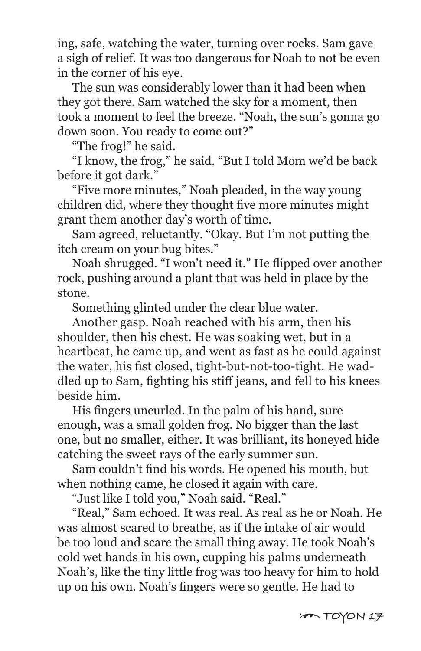ing, safe, watching the water, turning over rocks. Sam gave a sigh of relief. It was too dangerous for Noah to not be even in the corner of his eye.

 The sun was considerably lower than it had been when they got there. Sam watched the sky for a moment, then took a moment to feel the breeze. "Noah, the sun's gonna go down soon. You ready to come out?"

"The frog!" he said.

 "I know, the frog," he said. "But I told Mom we'd be back before it got dark."

 "Five more minutes," Noah pleaded, in the way young children did, where they thought five more minutes might grant them another day's worth of time.

 Sam agreed, reluctantly. "Okay. But I'm not putting the itch cream on your bug bites."

 Noah shrugged. "I won't need it." He flipped over another rock, pushing around a plant that was held in place by the stone.

Something glinted under the clear blue water.

 Another gasp. Noah reached with his arm, then his shoulder, then his chest. He was soaking wet, but in a heartbeat, he came up, and went as fast as he could against the water, his fist closed, tight-but-not-too-tight. He waddled up to Sam, fighting his stiff jeans, and fell to his knees beside him.

 His fingers uncurled. In the palm of his hand, sure enough, was a small golden frog. No bigger than the last one, but no smaller, either. It was brilliant, its honeyed hide catching the sweet rays of the early summer sun.

 Sam couldn't find his words. He opened his mouth, but when nothing came, he closed it again with care.

"Just like I told you," Noah said. "Real."

 "Real," Sam echoed. It was real. As real as he or Noah. He was almost scared to breathe, as if the intake of air would be too loud and scare the small thing away. He took Noah's cold wet hands in his own, cupping his palms underneath Noah's, like the tiny little frog was too heavy for him to hold up on his own. Noah's fingers were so gentle. He had to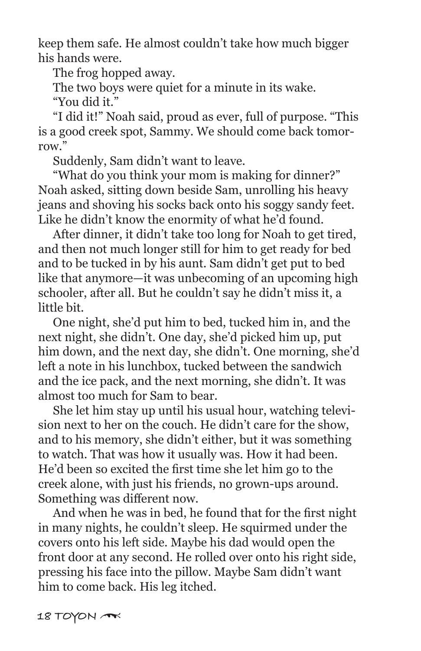keep them safe. He almost couldn't take how much bigger his hands were.

The frog hopped away.

The two boys were quiet for a minute in its wake.

"You did it."

 "I did it!" Noah said, proud as ever, full of purpose. "This is a good creek spot, Sammy. We should come back tomorrow"

Suddenly, Sam didn't want to leave.

 "What do you think your mom is making for dinner?" Noah asked, sitting down beside Sam, unrolling his heavy jeans and shoving his socks back onto his soggy sandy feet. Like he didn't know the enormity of what he'd found.

 After dinner, it didn't take too long for Noah to get tired, and then not much longer still for him to get ready for bed and to be tucked in by his aunt. Sam didn't get put to bed like that anymore—it was unbecoming of an upcoming high schooler, after all. But he couldn't say he didn't miss it, a little bit.

 One night, she'd put him to bed, tucked him in, and the next night, she didn't. One day, she'd picked him up, put him down, and the next day, she didn't. One morning, she'd left a note in his lunchbox, tucked between the sandwich and the ice pack, and the next morning, she didn't. It was almost too much for Sam to bear.

 She let him stay up until his usual hour, watching television next to her on the couch. He didn't care for the show, and to his memory, she didn't either, but it was something to watch. That was how it usually was. How it had been. He'd been so excited the first time she let him go to the creek alone, with just his friends, no grown-ups around. Something was different now.

 And when he was in bed, he found that for the first night in many nights, he couldn't sleep. He squirmed under the covers onto his left side. Maybe his dad would open the front door at any second. He rolled over onto his right side, pressing his face into the pillow. Maybe Sam didn't want him to come back. His leg itched.